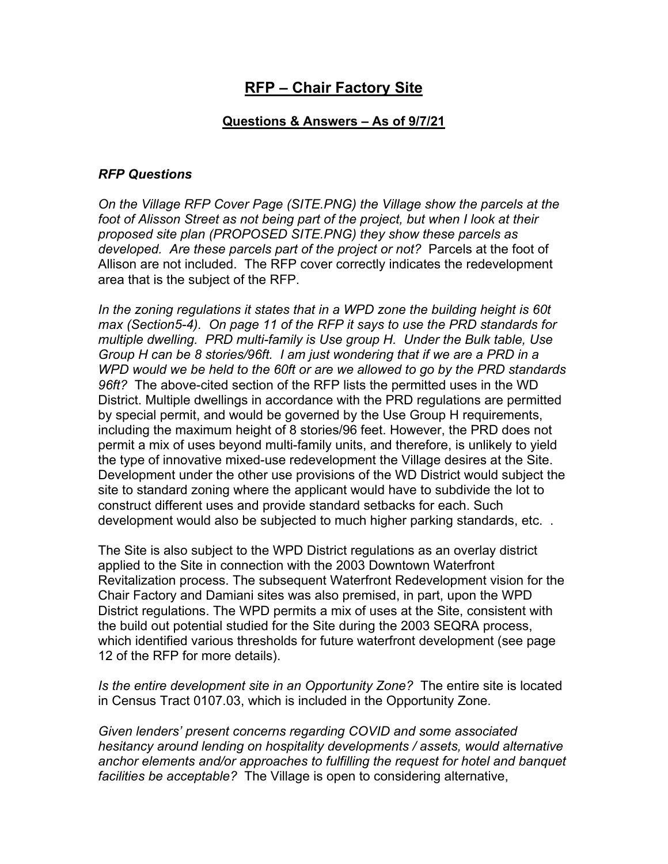## **RFP – Chair Factory Site**

## **Questions & Answers – As of 9/7/21**

## *RFP Questions*

*On the Village RFP Cover Page (SITE.PNG) the Village show the parcels at the*  foot of Alisson Street as not being part of the project, but when I look at their *proposed site plan (PROPOSED SITE.PNG) they show these parcels as developed. Are these parcels part of the project or not?* Parcels at the foot of Allison are not included. The RFP cover correctly indicates the redevelopment area that is the subject of the RFP.

*In the zoning regulations it states that in a WPD zone the building height is 60t max (Section5-4). On page 11 of the RFP it says to use the PRD standards for multiple dwelling. PRD multi-family is Use group H. Under the Bulk table, Use Group H can be 8 stories/96ft. I am just wondering that if we are a PRD in a WPD would we be held to the 60ft or are we allowed to go by the PRD standards 96ft?* The above-cited section of the RFP lists the permitted uses in the WD District. Multiple dwellings in accordance with the PRD regulations are permitted by special permit, and would be governed by the Use Group H requirements, including the maximum height of 8 stories/96 feet. However, the PRD does not permit a mix of uses beyond multi-family units, and therefore, is unlikely to yield the type of innovative mixed-use redevelopment the Village desires at the Site. Development under the other use provisions of the WD District would subject the site to standard zoning where the applicant would have to subdivide the lot to construct different uses and provide standard setbacks for each. Such development would also be subjected to much higher parking standards, etc. .

The Site is also subject to the WPD District regulations as an overlay district applied to the Site in connection with the 2003 Downtown Waterfront Revitalization process. The subsequent Waterfront Redevelopment vision for the Chair Factory and Damiani sites was also premised, in part, upon the WPD District regulations. The WPD permits a mix of uses at the Site, consistent with the build out potential studied for the Site during the 2003 SEQRA process, which identified various thresholds for future waterfront development (see page 12 of the RFP for more details).

*Is the entire development site in an Opportunity Zone?* The entire site is located in Census Tract 0107.03, which is included in the Opportunity Zone.

*Given lenders' present concerns regarding COVID and some associated hesitancy around lending on hospitality developments / assets, would alternative anchor elements and/or approaches to fulfilling the request for hotel and banquet facilities be acceptable?* The Village is open to considering alternative,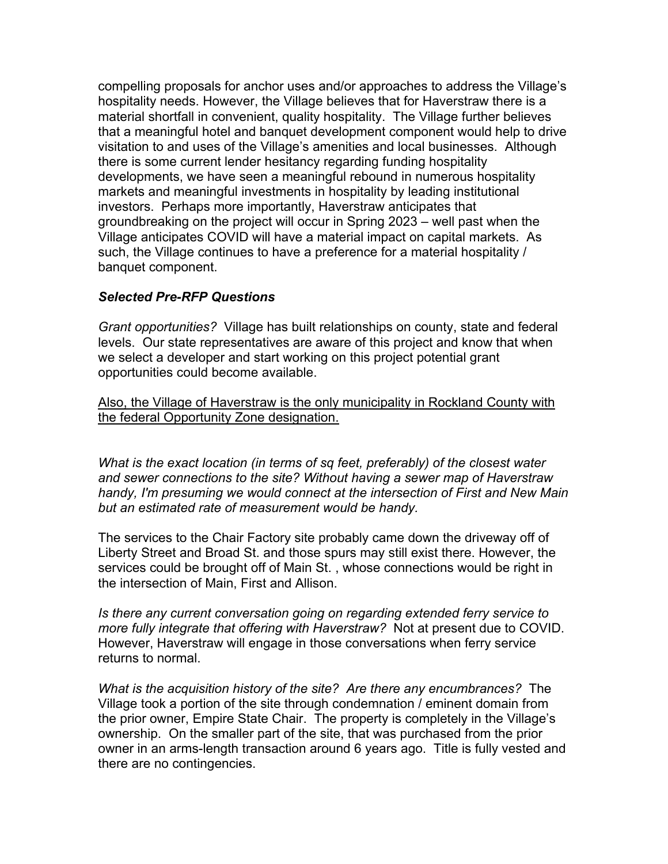compelling proposals for anchor uses and/or approaches to address the Village's hospitality needs. However, the Village believes that for Haverstraw there is a material shortfall in convenient, quality hospitality. The Village further believes that a meaningful hotel and banquet development component would help to drive visitation to and uses of the Village's amenities and local businesses. Although there is some current lender hesitancy regarding funding hospitality developments, we have seen a meaningful rebound in numerous hospitality markets and meaningful investments in hospitality by leading institutional investors. Perhaps more importantly, Haverstraw anticipates that groundbreaking on the project will occur in Spring 2023 – well past when the Village anticipates COVID will have a material impact on capital markets. As such, the Village continues to have a preference for a material hospitality / banquet component.

## *Selected Pre-RFP Questions*

*Grant opportunities?* Village has built relationships on county, state and federal levels. Our state representatives are aware of this project and know that when we select a developer and start working on this project potential grant opportunities could become available.

Also, the Village of Haverstraw is the only municipality in Rockland County with the federal Opportunity Zone designation.

*What is the exact location (in terms of sq feet, preferably) of the closest water and sewer connections to the site? Without having a sewer map of Haverstraw handy, I'm presuming we would connect at the intersection of First and New Main but an estimated rate of measurement would be handy.*

The services to the Chair Factory site probably came down the driveway off of Liberty Street and Broad St. and those spurs may still exist there. However, the services could be brought off of Main St. , whose connections would be right in the intersection of Main, First and Allison.

*Is there any current conversation going on regarding extended ferry service to more fully integrate that offering with Haverstraw?* Not at present due to COVID. However, Haverstraw will engage in those conversations when ferry service returns to normal.

*What is the acquisition history of the site? Are there any encumbrances?* The Village took a portion of the site through condemnation / eminent domain from the prior owner, Empire State Chair. The property is completely in the Village's ownership. On the smaller part of the site, that was purchased from the prior owner in an arms-length transaction around 6 years ago. Title is fully vested and there are no contingencies.